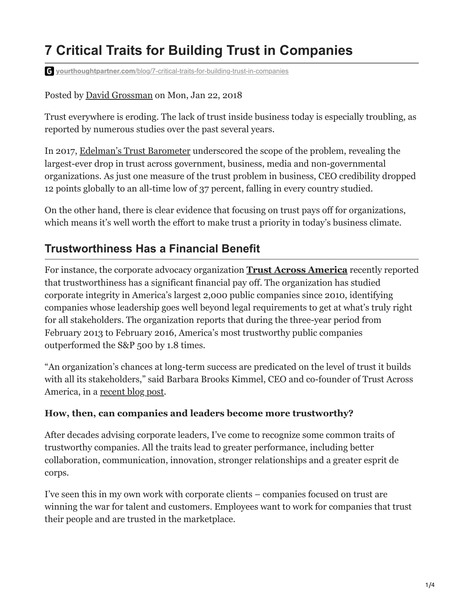# **7 Critical Traits for Building Trust in Companies**

**yourthoughtpartner.com**[/blog/7-critical-traits-for-building-trust-in-companies](https://www.yourthoughtpartner.com/blog/7-critical-traits-for-building-trust-in-companies)

#### Posted by [David Grossman](https://www.yourthoughtpartner.com/blog/author/david-grossman) on Mon, Jan 22, 2018

Trust everywhere is eroding. The lack of trust inside business today is especially troubling, as reported by numerous studies over the past several years.

In 2017, [Edelman's Trust Barometer](https://www.edelman.com/trust2017/) underscored the scope of the problem, revealing the largest-ever drop in trust across government, business, media and non-governmental organizations. As just one measure of the trust problem in business, CEO credibility dropped 12 points globally to an all-time low of 37 percent, falling in every country studied.

On the other hand, there is clear evidence that focusing on trust pays off for organizations, which means it's well worth the effort to make trust a priority in today's business climate.

## **Trustworthiness Has a Financial Benefit**

For instance, the corporate advocacy organization **[Trust Across America](http://www.trustacrossamerica.com/blog/)** recently reported that trustworthiness has a significant financial pay off. The organization has studied corporate integrity in America's largest 2,000 public companies since 2010, identifying companies whose leadership goes well beyond legal requirements to get at what's truly right for all stakeholders. The organization reports that during the three-year period from February 2013 to February 2016, America's most trustworthy public companies outperformed the S&P 500 by 1.8 times.

"An organization's chances at long-term success are predicated on the level of trust it builds with all its stakeholders," said Barbara Brooks Kimmel, CEO and co-founder of Trust Across America, in a [recent blog post](http://www.trustacrossamerica.com/blog/?p=3609).

#### **How, then, can companies and leaders become more trustworthy?**

After decades advising corporate leaders, I've come to recognize some common traits of trustworthy companies. All the traits lead to greater performance, including better collaboration, communication, innovation, stronger relationships and a greater esprit de corps.

I've seen this in my own work with corporate clients – companies focused on trust are winning the war for talent and customers. Employees want to work for companies that trust their people and are trusted in the marketplace.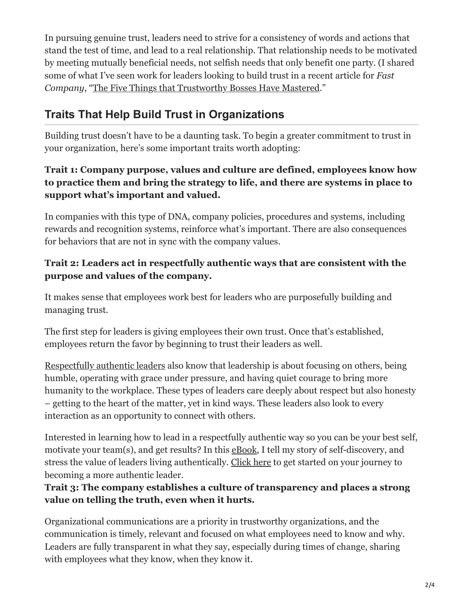In pursuing genuine trust, leaders need to strive for a consistency of words and actions that stand the test of time, and lead to a real relationship. That relationship needs to be motivated by meeting mutually beneficial needs, not selfish needs that only benefit one party. (I shared some of what I've seen work for leaders looking to build trust in a recent article for *Fast Company*, ["The Five Things that Trustworthy Bosses Have Mastered.](https://www.fastcompany.com/40487388/the-five-things-that-trustworthy-bosses-have-mastered)"

# **Traits That Help Build Trust in Organizations**

Building trust doesn't have to be a daunting task. To begin a greater commitment to trust in your organization, here's some important traits worth adopting:

#### **Trait 1: Company purpose, values and culture are defined, employees know how to practice them and bring the strategy to life, and there are systems in place to support what's important and valued.**

In companies with this type of DNA, company policies, procedures and systems, including rewards and recognition systems, reinforce what's important. There are also consequences for behaviors that are not in sync with the company values.

## **Trait 2: Leaders act in respectfully authentic ways that are consistent with the purpose and values of the company.**

It makes sense that employees work best for leaders who are purposefully building and managing trust.

The first step for leaders is giving employees their own trust. Once that's established, employees return the favor by beginning to trust their leaders as well.

[Respectfully authentic leaders](https://www.yourthoughtpartner.com/blog/the-secret-respectfully-authentic-leaders-know) also know that leadership is about focusing on others, being humble, operating with grace under pressure, and having quiet courage to bring more humanity to the workplace. These types of leaders care deeply about respect but also honesty – getting to the heart of the matter, yet in kind ways. These leaders also look to every interaction as an opportunity to connect with others.

Interested in learning how to lead in a respectfully authentic way so you can be your best self, motivate your team(s), and get results? In this **eBook**, I tell my story of self-discovery, and stress the value of leaders living authentically. [Click here](https://www.yourthoughtpartner.com/respectful-authenticity-ebook) to get started on your journey to becoming a more authentic leader.

#### **Trait 3: The company establishes a culture of transparency and places a strong value on telling the truth, even when it hurts.**

Organizational communications are a priority in trustworthy organizations, and the communication is timely, relevant and focused on what employees need to know and why. Leaders are fully transparent in what they say, especially during times of change, sharing with employees what they know, when they know it.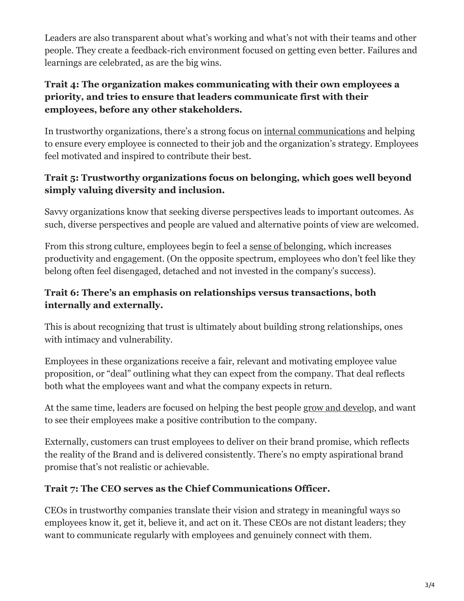Leaders are also transparent about what's working and what's not with their teams and other people. They create a feedback-rich environment focused on getting even better. Failures and learnings are celebrated, as are the big wins.

#### **Trait 4: The organization makes communicating with their own employees a priority, and tries to ensure that leaders communicate first with their employees, before any other stakeholders.**

In trustworthy organizations, there's a strong focus on [internal communications](https://www.yourthoughtpartner.com/blog/bid/73957/Organizations-with-Highly-Effective-Communications-Continue-to-Significantly-Outperform-Their-Less-Effective-Peers) and helping to ensure every employee is connected to their job and the organization's strategy. Employees feel motivated and inspired to contribute their best.

## **Trait 5: Trustworthy organizations focus on belonging, which goes well beyond simply valuing diversity and inclusion.**

Savvy organizations know that seeking diverse perspectives leads to important outcomes. As such, diverse perspectives and people are valued and alternative points of view are welcomed.

From this strong culture, employees begin to feel a [sense of belonging,](https://www.yourthoughtpartner.com/blog/what-great-teams-are-made-of-its-not-what-you-might-expect) which increases productivity and engagement. (On the opposite spectrum, employees who don't feel like they belong often feel disengaged, detached and not invested in the company's success).

#### **Trait 6: There's an emphasis on relationships versus transactions, both internally and externally.**

This is about recognizing that trust is ultimately about building strong relationships, ones with intimacy and vulnerability.

Employees in these organizations receive a fair, relevant and motivating employee value proposition, or "deal" outlining what they can expect from the company. That deal reflects both what the employees want and what the company expects in return.

At the same time, leaders are focused on helping the best people [grow and develop,](https://www.yourthoughtpartner.com/blog/bid/73916/6-tips-to-help-employees-grow-and-develop) and want to see their employees make a positive contribution to the company.

Externally, customers can trust employees to deliver on their brand promise, which reflects the reality of the Brand and is delivered consistently. There's no empty aspirational brand promise that's not realistic or achievable.

#### **Trait 7: The CEO serves as the Chief Communications Officer.**

CEOs in trustworthy companies translate their vision and strategy in meaningful ways so employees know it, get it, believe it, and act on it. These CEOs are not distant leaders; they want to communicate regularly with employees and genuinely connect with them.